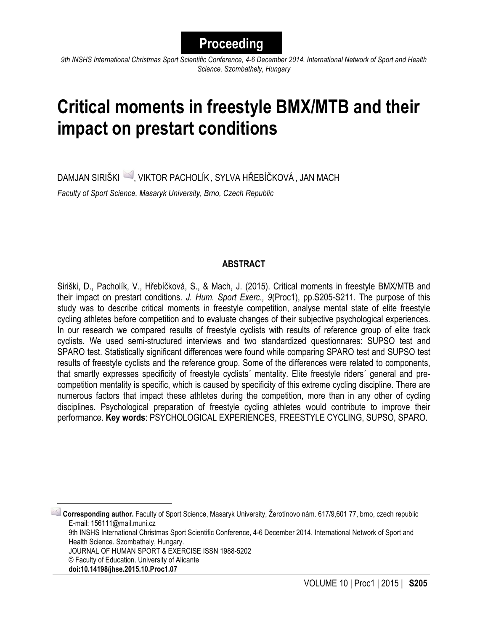*9th INSHS International Christmas Sport Scientific Conference, 4-6 December 2014. International Network of Sport and Health Science. Szombathely, Hungary*

# **Critical moments in freestyle BMX/MTB and their impact on prestart conditions**

DAMJAN SIRIŠKI 4, VIKTOR PACHOLÍK, SYLVA HŘEBÍČKOVÁ, JAN MACH *Faculty of Sport Science, Masaryk University, Brno, Czech Republic*

## **ABSTRACT**

Siriški, D., Pacholík, V., Hřebíčková, S., & Mach, J. (2015). Critical moments in freestyle BMX/MTB and their impact on prestart conditions. *J. Hum. Sport Exerc., 9*(Proc1), pp.S205-S211. The purpose of this study was to describe critical moments in freestyle competition, analyse mental state of elite freestyle cycling athletes before competition and to evaluate changes of their subjective psychological experiences. In our research we compared results of freestyle cyclists with results of reference group of elite track cyclists. We used semi-structured interviews and two standardized questionnares: SUPSO test and SPARO test. Statistically significant differences were found while comparing SPARO test and SUPSO test results of freestyle cyclists and the reference group. Some of the differences were related to components, that smartly expresses specificity of freestyle cyclists´ mentality. Elite freestyle riders´ general and precompetition mentality is specific, which is caused by specificity of this extreme cycling discipline. There are numerous factors that impact these athletes during the competition, more than in any other of cycling disciplines. Psychological preparation of freestyle cycling athletes would contribute to improve their performance. **Key words**: PSYCHOLOGICAL EXPERIENCES, FREESTYLE CYCLING, SUPSO, SPARO.

 1 **Corresponding author.** Faculty of Sport Science, Masaryk University, Žerotínovo nám. 617/9,601 77, brno, czech republic E-mail: 156111@mail.muni.cz 9th INSHS International Christmas Sport Scientific Conference, 4-6 December 2014. International Network of Sport and Health Science. Szombathely, Hungary. JOURNAL OF HUMAN SPORT & EXERCISE ISSN 1988-5202 © Faculty of Education. University of Alicante **doi:10.14198/jhse.2015.10.Proc1.07**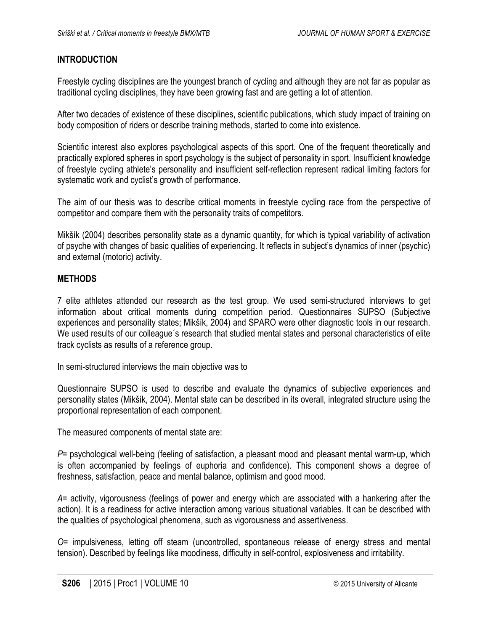### **INTRODUCTION**

Freestyle cycling disciplines are the youngest branch of cycling and although they are not far as popular as traditional cycling disciplines, they have been growing fast and are getting a lot of attention.

After two decades of existence of these disciplines, scientific publications, which study impact of training on body composition of riders or describe training methods, started to come into existence.

Scientific interest also explores psychological aspects of this sport. One of the frequent theoretically and practically explored spheres in sport psychology is the subject of personality in sport. Insufficient knowledge of freestyle cycling athlete's personality and insufficient self-reflection represent radical limiting factors for systematic work and cyclist's growth of performance.

The aim of our thesis was to describe critical moments in freestyle cycling race from the perspective of competitor and compare them with the personality traits of competitors.

Mikšík (2004) describes personality state as a dynamic quantity, for which is typical variability of activation of psyche with changes of basic qualities of experiencing. It reflects in subject's dynamics of inner (psychic) and external (motoric) activity.

#### **METHODS**

7 elite athletes attended our research as the test group. We used semi-structured interviews to get information about critical moments during competition period. Questionnaires SUPSO (Subjective experiences and personality states; Mikšík, 2004) and SPARO were other diagnostic tools in our research. We used results of our colleague's research that studied mental states and personal characteristics of elite track cyclists as results of a reference group.

In semi-structured interviews the main objective was to

Questionnaire SUPSO is used to describe and evaluate the dynamics of subjective experiences and personality states (Mikšík, 2004). Mental state can be described in its overall, integrated structure using the proportional representation of each component.

The measured components of mental state are:

*P*= psychological well-being (feeling of satisfaction, a pleasant mood and pleasant mental warm-up, which is often accompanied by feelings of euphoria and confidence). This component shows a degree of freshness, satisfaction, peace and mental balance, optimism and good mood.

*A*= activity, vigorousness (feelings of power and energy which are associated with a hankering after the action). It is a readiness for active interaction among various situational variables. It can be described with the qualities of psychological phenomena, such as vigorousness and assertiveness.

*O*= impulsiveness, letting off steam (uncontrolled, spontaneous release of energy stress and mental tension). Described by feelings like moodiness, difficulty in self-control, explosiveness and irritability.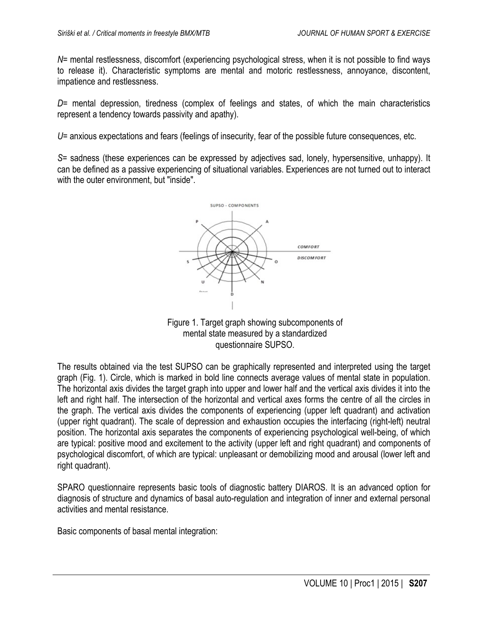*N*= mental restlessness, discomfort (experiencing psychological stress, when it is not possible to find ways to release it). Characteristic symptoms are mental and motoric restlessness, annoyance, discontent, impatience and restlessness.

*D*= mental depression, tiredness (complex of feelings and states, of which the main characteristics represent a tendency towards passivity and apathy).

*U*= anxious expectations and fears (feelings of insecurity, fear of the possible future consequences, etc.

*S*= sadness (these experiences can be expressed by adjectives sad, lonely, hypersensitive, unhappy). It can be defined as a passive experiencing of situational variables. Experiences are not turned out to interact with the outer environment, but "inside".





The results obtained via the test SUPSO can be graphically represented and interpreted using the target graph (Fig. 1). Circle, which is marked in bold line connects average values of mental state in population. The horizontal axis divides the target graph into upper and lower half and the vertical axis divides it into the left and right half. The intersection of the horizontal and vertical axes forms the centre of all the circles in the graph. The vertical axis divides the components of experiencing (upper left quadrant) and activation (upper right quadrant). The scale of depression and exhaustion occupies the interfacing (right-left) neutral position. The horizontal axis separates the components of experiencing psychological well-being, of which are typical: positive mood and excitement to the activity (upper left and right quadrant) and components of psychological discomfort, of which are typical: unpleasant or demobilizing mood and arousal (lower left and right quadrant).

SPARO questionnaire represents basic tools of diagnostic battery DIAROS. It is an advanced option for diagnosis of structure and dynamics of basal auto-regulation and integration of inner and external personal activities and mental resistance.

Basic components of basal mental integration: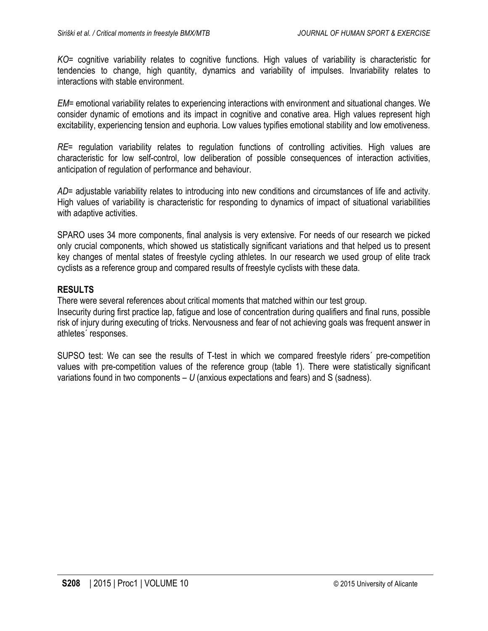*KO*= cognitive variability relates to cognitive functions. High values of variability is characteristic for tendencies to change, high quantity, dynamics and variability of impulses. Invariability relates to interactions with stable environment.

*EM*= emotional variability relates to experiencing interactions with environment and situational changes. We consider dynamic of emotions and its impact in cognitive and conative area. High values represent high excitability, experiencing tension and euphoria. Low values typifies emotional stability and low emotiveness.

*RE*= regulation variability relates to regulation functions of controlling activities. High values are characteristic for low self-control, low deliberation of possible consequences of interaction activities, anticipation of regulation of performance and behaviour.

*AD*= adjustable variability relates to introducing into new conditions and circumstances of life and activity. High values of variability is characteristic for responding to dynamics of impact of situational variabilities with adaptive activities.

SPARO uses 34 more components, final analysis is very extensive. For needs of our research we picked only crucial components, which showed us statistically significant variations and that helped us to present key changes of mental states of freestyle cycling athletes. In our research we used group of elite track cyclists as a reference group and compared results of freestyle cyclists with these data.

#### **RESULTS**

There were several references about critical moments that matched within our test group. Insecurity during first practice lap, fatigue and lose of concentration during qualifiers and final runs, possible risk of injury during executing of tricks. Nervousness and fear of not achieving goals was frequent answer in athletes´ responses.

SUPSO test: We can see the results of T-test in which we compared freestyle riders´ pre-competition values with pre-competition values of the reference group (table 1). There were statistically significant variations found in two components – *U* (anxious expectations and fears) and S (sadness).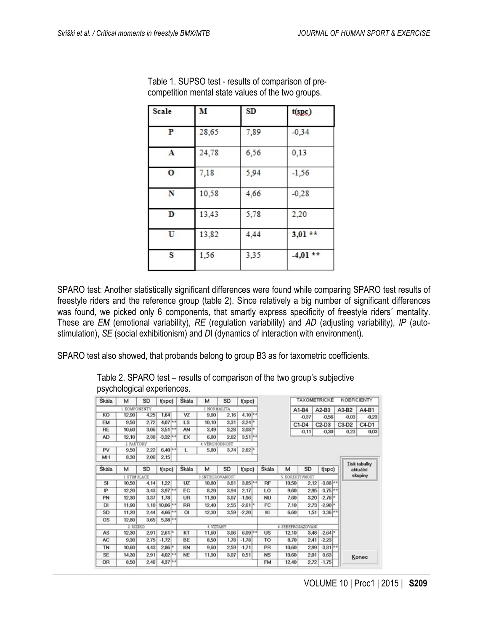| Scale | M     | SD   | t(spg)     |  |  |  |  |
|-------|-------|------|------------|--|--|--|--|
| P     | 28,65 | 7,89 | $-0,34$    |  |  |  |  |
| A     | 24,78 | 6,56 | 0,13       |  |  |  |  |
| O     | 7,18  | 5,94 | $-1,56$    |  |  |  |  |
| N     | 10,58 | 4,66 | $-0,28$    |  |  |  |  |
| D     | 13,43 | 5,78 | 2,20       |  |  |  |  |
| U     | 13,82 | 4,44 | $3,01$ **  |  |  |  |  |
| S     | 1,56  | 3,35 | $-4,01$ ** |  |  |  |  |

Table 1. SUPSO test - results of comparison of precompetition mental state values of the two groups.

SPARO test: Another statistically significant differences were found while comparing SPARO test results of freestyle riders and the reference group (table 2). Since relatively a big number of significant differences was found, we picked only 6 components, that smartly express specificity of freestyle riders´ mentality. These are *EM* (emotional variability), *RE* (regulation variability) and *AD* (adjusting variability), *IP* (autostimulation), *SE* (social exhibitionism) and *D*I (dynamics of interaction with environment).

SPARO test also showed, that probands belong to group B3 as for taxometric coefficients.

Table 2. SPARO test – results of comparison of the two group's subjective psychological experiences.

| Skála        | м             | SD   | t(spc)     | Skála            | м              | SD   | t(spc)      |                    |                |       | TAXOMETRICKÉ |            |             | <b>KOEFICIENTY</b> |                                 |  |
|--------------|---------------|------|------------|------------------|----------------|------|-------------|--------------------|----------------|-------|--------------|------------|-------------|--------------------|---------------------------------|--|
|              | 1. KOMPONENTY |      |            |                  | 3. NORMALITA   |      |             |                    |                |       | $A1-B4$      | A2-B3      |             | A3-B2              | A4-B1                           |  |
| KO           | 12,90         | 4,25 | 1.64       | VZ               | 9.00           | 2.16 | $4.10^{+*}$ |                    |                |       | $-0.37$      | $-0.56$    |             | $-0.03$            | $-0.23$                         |  |
| EM           | 9.50          | 2,72 | $4.07$ **  | LS               | 10,10          | 3,31 | $-3.24*$    |                    |                |       | $C1-D4$      | $C2-D3$    |             | $C3-D2$            | C4-D1                           |  |
| RE           | 10,60         | 3,06 | $3.51**$   | AN               | 3.49           | 3.28 | $3.08*$     |                    |                |       | $-0.11$      | $-0.30$    |             | 0.23               | 0.03                            |  |
| AD           | 12.10         | 2,38 | $-3.32$ ** | EX               | 6.80           | 2.62 | $3.51**$    |                    |                |       |              |            |             |                    |                                 |  |
|              | 2 FAKTORY     |      |            |                  | 4. VÉROHODNOST |      |             |                    |                |       |              |            |             |                    |                                 |  |
| PV           | 9.50          | 2.22 | $6,40$ **  | L                | 5.80           | 3.74 | $2.62*$     |                    |                |       |              |            |             |                    |                                 |  |
| MН           | 8,30          | 2,06 | 2.15       |                  |                |      |             |                    |                |       |              |            |             |                    |                                 |  |
| <b>Skála</b> | м             | SD   | t(spo)     | <b>Skála</b>     | м              | SD   | t(spo)      |                    | Škála          | м     | SD           | t(spo)     |             |                    | <b>Tisk tabulky</b><br>aktuální |  |
| 1. STIMULACE |               |      |            | 3. INTEGROVANOST |                |      |             | 5. KOREKTIVNOST    |                |       |              |            | skupiny     |                    |                                 |  |
| SI           | 10,50         | 4,14 | 1,22       | UZ               | 10,80          | 3,61 | $3.85$ **   |                    | RF             | 10,50 | 2,12         | $-3,88$ ** |             |                    |                                 |  |
| I₽           | 12.20         | 3.43 | $3.97$ **  | EC               | 8.20           | 3.94 | 2.17        |                    | LO             | 9.60  | 2.95         | $-3.75$ ** |             |                    |                                 |  |
| PN           | 12.30         | 3,37 | 1.78       | UR               | 11.90          | 3.07 | $-1.96$     |                    | <b>NU</b>      | 7.60  | 3.20         | $-2.76*$   |             |                    |                                 |  |
| DI           | 11,90         | 1.10 | $10,06$ ** | <b>RR</b>        | 12.40          | 2.55 | $-2.61*$    |                    | FC             | 7.10  | 2,73         | $-2.90*$   |             |                    |                                 |  |
| SD           | 11,20         | 2.44 | $4,66$ **  | O(               | 12,30          | 3.59 | $-2.20$     |                    | к              | 6.60  | 1,51         |            | $3.36^{+1}$ |                    |                                 |  |
| <b>OS</b>    | 12,80         | 3,65 | $5.38$ **  |                  |                |      |             |                    |                |       |              |            |             |                    |                                 |  |
| 2. RIZIKO    |               |      |            | 4 VZTAHY         |                |      |             | 6. SEBEPROSAZOVÁNÍ |                |       |              |            |             |                    |                                 |  |
| AS           | 12,30         | 2.91 | $2.61*$    | KT               | 11,60          | 3.06 | $6.09$ **   |                    | <b>US</b>      | 12.10 | 3,48         | $-2,64*$   |             |                    |                                 |  |
| AC           | 9,30          | 2,75 | $-1.72$    | BE               | 8.50           | 1,78 | $-1.78$     |                    | T <sub>O</sub> | 8,70  | 2.41         | $-2.23$    |             |                    |                                 |  |
| <b>TN</b>    | 10,60         | 4,43 | $2.86*$    | KN               | 9.60           | 2.59 | $-1.71$     |                    | PR             | 10,60 | 2,99         |            | $-3.81$ **  |                    |                                 |  |
| SE           | 14,30         | 2.91 | $4.02$ **  | <b>NE</b>        | 11,90          | 3,07 | 0.51        |                    | <b>NS</b>      | 10,60 | 2,01         | 0,63       |             |                    | Konec                           |  |
| OR           | 8.50          | 2.46 | $4.37$ **  |                  |                |      |             |                    | <b>FM</b>      | 12.40 | 2,72         | $-1,75$    |             |                    |                                 |  |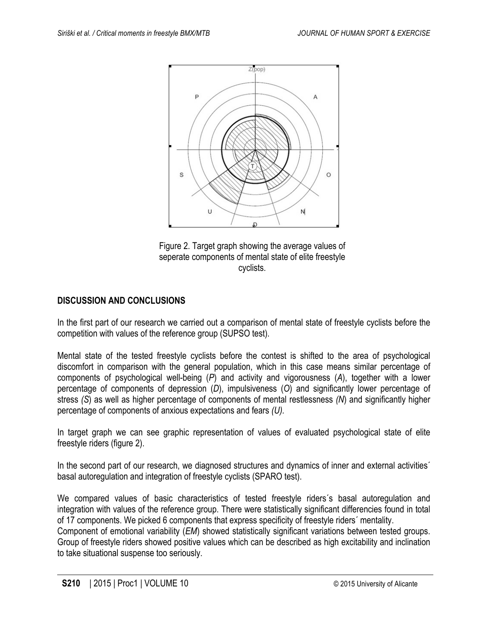

Figure 2. Target graph showing the average values of seperate components of mental state of elite freestyle cyclists.

# **DISCUSSION AND CONCLUSIONS**

In the first part of our research we carried out a comparison of mental state of freestyle cyclists before the competition with values of the reference group (SUPSO test).

Mental state of the tested freestyle cyclists before the contest is shifted to the area of psychological discomfort in comparison with the general population, which in this case means similar percentage of components of psychological well-being (*P*) and activity and vigorousness (*A*), together with a lower percentage of components of depression (*D*), impulsiveness (*O*) and significantly lower percentage of stress *(S*) as well as higher percentage of components of mental restlessness *(N*) and significantly higher percentage of components of anxious expectations and fears *(U).*

In target graph we can see graphic representation of values of evaluated psychological state of elite freestyle riders (figure 2).

In the second part of our research, we diagnosed structures and dynamics of inner and external activities<sup>7</sup> basal autoregulation and integration of freestyle cyclists (SPARO test).

We compared values of basic characteristics of tested freestyle riders´s basal autoregulation and integration with values of the reference group. There were statistically significant differencies found in total of 17 components. We picked 6 components that express specificity of freestyle riders´ mentality.

Component of emotional variability (*EM*) showed statistically significant variations between tested groups. Group of freestyle riders showed positive values which can be described as high excitability and inclination to take situational suspense too seriously.